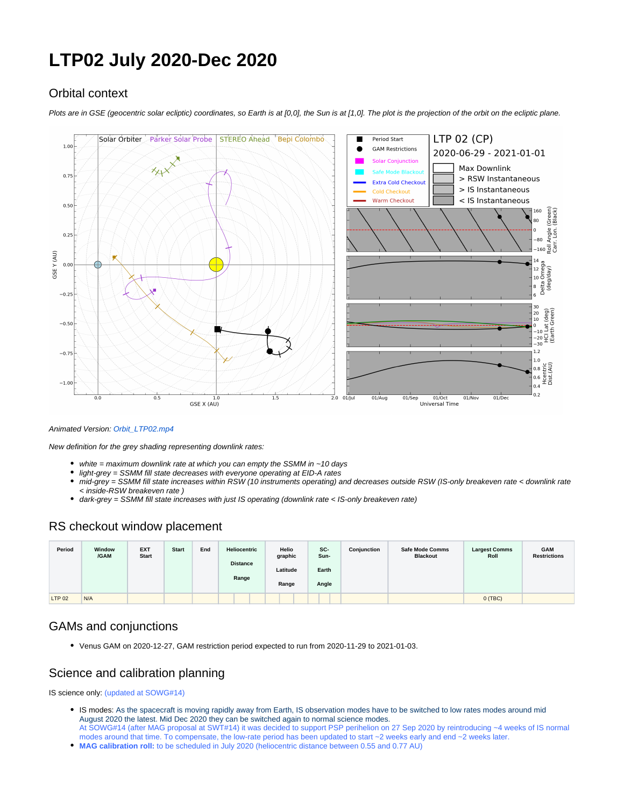# **LTP02 July 2020-Dec 2020**

# Orbital context

Plots are in GSE (geocentric solar ecliptic) coordinates, so Earth is at [0,0], the Sun is at [1,0]. The plot is the projection of the orbit on the ecliptic plane.



#### Animated Version: [Orbit\\_LTP02.mp4](https://issues.cosmos.esa.int/solarorbiterwiki/download/attachments/23331930/Orbit_LTP02.mp4?version=2&modificationDate=1588858337000&api=v2)

New definition for the grey shading representing downlink rates:

- white = maximum downlink rate at which you can empty the SSMM in  $~10$  days
- light-grey = SSMM fill state decreases with everyone operating at EID-A rates
- mid-grey = SSMM fill state increases within RSW (10 instruments operating) and decreases outside RSW (IS-only breakeven rate < downlink rate < inside-RSW breakeven rate )
- $\bullet$ dark-grey = SSMM fill state increases with just IS operating (downlink rate < IS-only breakeven rate)

## RS checkout window placement

| Period        | Window<br>/GAM | <b>EXT</b><br><b>Start</b> | <b>Start</b> | End | Heliocentric<br><b>Distance</b><br>Range | Helio<br>graphic<br>Latitude<br>Range | SC-<br>Sun-<br>Earth<br>Angle | Conjunction | <b>Safe Mode Comms</b><br><b>Blackout</b> | <b>Largest Comms</b><br>Roll | <b>GAM</b><br><b>Restrictions</b> |
|---------------|----------------|----------------------------|--------------|-----|------------------------------------------|---------------------------------------|-------------------------------|-------------|-------------------------------------------|------------------------------|-----------------------------------|
| <b>LTP 02</b> | N/A            |                            |              |     |                                          |                                       |                               |             |                                           | 0(TBC)                       |                                   |

## GAMs and conjunctions

Venus GAM on 2020-12-27, GAM restriction period expected to run from 2020-11-29 to 2021-01-03.

## Science and calibration planning

IS science only: (updated at SOWG#14)

- IS modes: As the spacecraft is moving rapidly away from Earth, IS observation modes have to be switched to low rates modes around mid August 2020 the latest. Mid Dec 2020 they can be switched again to normal science modes. At SOWG#14 (after MAG proposal at SWT#14) it was decided to support PSP perihelion on 27 Sep 2020 by reintroducing ~4 weeks of IS normal
- modes around that time. To compensate, the low-rate period has been updated to start ~2 weeks early and end ~2 weeks later.
- **MAG calibration roll:** to be scheduled in July 2020 (heliocentric distance between 0.55 and 0.77 AU)